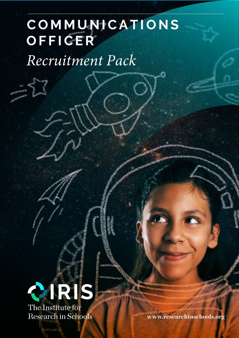## **COMMUNICATIONS OFFICER**

*Recruitment Pack*



 **www.researchinschools.org**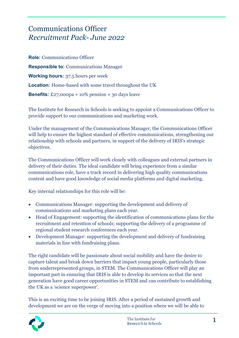## Communications Officer *Recruitment Pack- June 2022*

**Role:** Communications Officer **Responsible to:** Communications Manager **Working hours:** 37.5 hours per week **Location:** Home-based with some travel throughout the UK **Benefits:**  $£27,000p$ a + 10% pension + 30 days leave

The Institute for Research in Schools is seeking to appoint a Communications Officer to provide support to our communications and marketing work.

Under the management of the Communications Manager, the Communications Officer will help to ensure the highest standard of effective communications, strengthening our relationship with schools and partners, in support of the delivery of IRIS's strategic objectives.

The Communications Officer will work closely with colleagues and external partners in delivery of their duties. The ideal candidate will bring experience from a similar communications role, have a track record in delivering high quality communications content and have good knowledge of social media platforms and digital marketing.

Key internal relationships for this role will be:

- Communications Manager: supporting the development and delivery of communications and marketing plans each year.
- Head of Engagement: supporting the identification of communications plans for the recruitment and retention of schools; supporting the delivery of a programme of regional student research conferences each year.
- Development Manager: supporting the development and delivery of fundraising materials in line with fundraising plans.

The right candidate will be passionate about social mobility and have the desire to capture talent and break down barriers that impact young people, particularly those from underrepresented groups, in STEM. The Communications Officer will play an important part in ensuring that IRIS is able to develop its services so that the next generation have good career opportunities in STEM and can contribute to establishing the UK as a 'science superpower'.

This is an exciting time to be joining IRIS. After a period of sustained growth and development we are on the verge of moving into a position where we will be able to

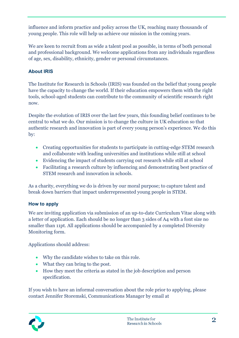influence and inform practice and policy across the UK, reaching many thousands of young people. This role will help us achieve our mission in the coming years.

We are keen to recruit from as wide a talent pool as possible, in terms of both personal and professional background. We welcome applications from any individuals regardless of age, sex, disability, ethnicity, gender or personal circumstances.

## **About IRIS**

The Institute for Research in Schools (IRIS) was founded on the belief that young people have the capacity to change the world. If their education empowers them with the right tools, school-aged students can contribute to the community of scientific research right now.

Despite the evolution of IRIS over the last few years, this founding belief continues to be central to what we do. Our mission is to change the culture in UK education so that authentic research and innovation is part of every young person's experience. We do this by:

- Creating opportunities for students to participate in cutting-edge STEM research and collaborate with leading universities and institutions while still at school
- Evidencing the impact of students carrying out research while still at school
- Facilitating a research culture by influencing and demonstrating best practice of STEM research and innovation in schools.

As a charity, everything we do is driven by our moral purpose; to capture talent and break down barriers that impact underrepresented young people in STEM.

## **How to apply**

We are inviting application via submission of an up-to-date Curriculum Vitae along with a letter of application. Each should be no longer than 3 sides of A4 with a font size no smaller than 11pt. All applications should be accompanied by a completed Diversity Monitoring form.

Applications should address:

- Why the candidate wishes to take on this role.
- What they can bring to the post.
- How they meet the criteria as stated in the job description and person specification.

If you wish to have an informal conversation about the role prior to applying, please contact Jennifer Storemski, Communications Manager by email at

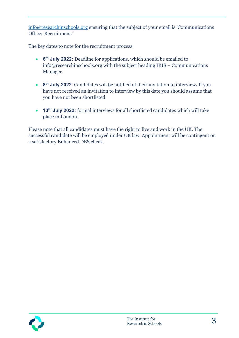[info@researchinschools.org](mailto:info@researchinschools.org) ensuring that the subject of your email is 'Communications Officer Recruitment.'

The key dates to note for the recruitment process:

- **6th July 2022:** Deadline for applications, which should be emailed to info@researchinschools.org with the subject heading IRIS – Communications Manager.
- **8th July 2022**: Candidates will be notified of their invitation to interview**.** If you have not received an invitation to interview by this date you should assume that you have not been shortlisted.
- **13th July 2022:** formal interviews for all shortlisted candidates which will take place in London.

Please note that all candidates must have the right to live and work in the UK. The successful candidate will be employed under UK law. Appointment will be contingent on a satisfactory Enhanced DBS check.

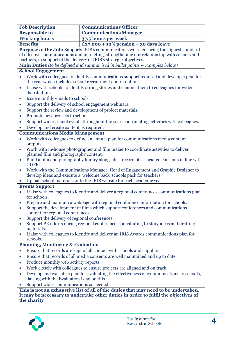| <b>Job Description</b>                                                                                                                                                 | <b>Communications Officer</b>                                                                                               |  |  |  |
|------------------------------------------------------------------------------------------------------------------------------------------------------------------------|-----------------------------------------------------------------------------------------------------------------------------|--|--|--|
| <b>Responsible to</b>                                                                                                                                                  | <b>Communications Manager</b>                                                                                               |  |  |  |
| <b>Working hours</b>                                                                                                                                                   | 37.5 hours per week                                                                                                         |  |  |  |
| <b>Benefits</b>                                                                                                                                                        | £27,000 + 10% pension + 30 days leave                                                                                       |  |  |  |
|                                                                                                                                                                        | Purpose of the Job: Supports IRIS's communications work, ensuring the highest standard                                      |  |  |  |
| of effective communications and marketing, strengthening our relationship with schools and                                                                             |                                                                                                                             |  |  |  |
| partners, in support of the delivery of IRIS's strategic objectives.                                                                                                   |                                                                                                                             |  |  |  |
| Main Duties (to be defined and summarised in bullet points – examples below)                                                                                           |                                                                                                                             |  |  |  |
| <b>School Engagement</b>                                                                                                                                               |                                                                                                                             |  |  |  |
| Work with colleagues to identify communications support required and develop a plan for<br>the year which includes school recruitment and retention.                   |                                                                                                                             |  |  |  |
| Liaise with schools to identify strong stories and channel them to colleagues for wider<br>$\bullet$<br>distribution.                                                  |                                                                                                                             |  |  |  |
| Issue monthly emails to schools.<br>$\bullet$                                                                                                                          |                                                                                                                             |  |  |  |
| Support the delivery of school engagement webinars.<br>$\bullet$                                                                                                       |                                                                                                                             |  |  |  |
| Support the review and development of project materials.<br>$\bullet$                                                                                                  |                                                                                                                             |  |  |  |
| Promote new projects to schools.<br>$\bullet$                                                                                                                          |                                                                                                                             |  |  |  |
| Support wider school events throughout the year, coordinating activities with colleagues.<br>$\bullet$                                                                 |                                                                                                                             |  |  |  |
| Develop and create content as required.                                                                                                                                |                                                                                                                             |  |  |  |
| <b>Communications Media Management</b>                                                                                                                                 |                                                                                                                             |  |  |  |
| Work with colleagues to define an annual plan for communications media content<br>$\bullet$<br>outputs.                                                                |                                                                                                                             |  |  |  |
| $\bullet$                                                                                                                                                              | Work with in-house photographer and film maker to coordinate activities to deliver<br>planned film and photography content. |  |  |  |
| Build a film and photography library alongside a record of associated consents in line with<br>$\bullet$<br>GDPR.                                                      |                                                                                                                             |  |  |  |
| Work with the Communications Manager, Head of Engagement and Graphic Designer to<br>$\bullet$<br>develop ideas and execute a 'welcome back' schools pack for teachers. |                                                                                                                             |  |  |  |
| Upload school materials onto the IRIS website for each academic year.                                                                                                  |                                                                                                                             |  |  |  |
| <b>Events Support</b>                                                                                                                                                  |                                                                                                                             |  |  |  |
| Liaise with colleagues to identify and deliver a regional conferences communications plan<br>for schools.                                                              |                                                                                                                             |  |  |  |
|                                                                                                                                                                        | Prepare and maintain a webpage with regional conference information for schools.                                            |  |  |  |
| $\bullet$                                                                                                                                                              | Support the development of films which support conferences and communications<br>content for regional conferences.          |  |  |  |
| Support the delivery of regional conferences.<br>$\bullet$                                                                                                             |                                                                                                                             |  |  |  |
| $\bullet$<br>materials.                                                                                                                                                | Support PR efforts during regional conference, contributing to story ideas and drafting                                     |  |  |  |
| $\bullet$<br>schools.                                                                                                                                                  | Liaise with colleagues to identify and deliver an IRIS Awards communications plan for                                       |  |  |  |
|                                                                                                                                                                        | <b>Planning, Monitoring &amp; Evaluation</b>                                                                                |  |  |  |
| $\bullet$                                                                                                                                                              | Ensure that records are kept of all contact with schools and suppliers.                                                     |  |  |  |
| $\bullet$                                                                                                                                                              | Ensure that records of all media consents are well maintained and up to date.                                               |  |  |  |
| $\bullet$                                                                                                                                                              | Produce monthly web activity reports.                                                                                       |  |  |  |
| $\bullet$                                                                                                                                                              | Work closely with colleagues to ensure projects are aligned and on track.                                                   |  |  |  |
| $\bullet$                                                                                                                                                              | Develop and execute a plan for evaluating the effectiveness of communications to schools,                                   |  |  |  |
| liaising with the Evaluation Lead on this.<br>Support wider communications as needed.                                                                                  |                                                                                                                             |  |  |  |
|                                                                                                                                                                        | This is not an exhaustive list of all of the duties that may need to be undertaken.                                         |  |  |  |

**This is not an exhaustive list of all of the duties that may need to be undertaken. It may be necessary to undertake other duties in order to fulfil the objectives of the charity**